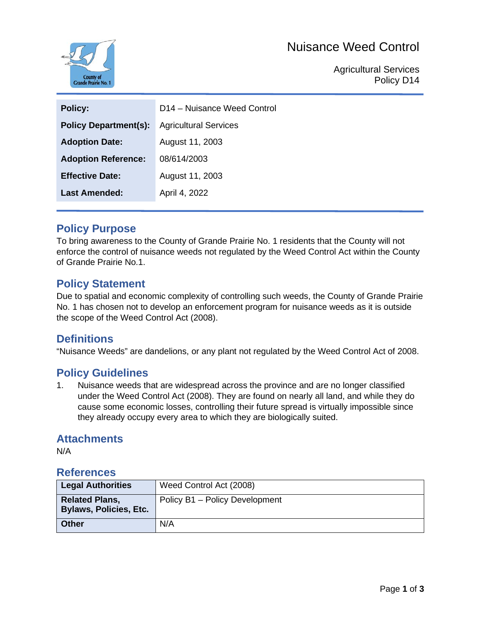# Nuisance Weed Control



Agricultural Services Policy D14

| <b>Policy Department(s):</b><br><b>Agricultural Services</b><br>August 11, 2003<br><b>Adoption Date:</b><br><b>Adoption Reference:</b><br>08/614/2003 |
|-------------------------------------------------------------------------------------------------------------------------------------------------------|
|                                                                                                                                                       |
|                                                                                                                                                       |
|                                                                                                                                                       |
| <b>Effective Date:</b><br>August 11, 2003                                                                                                             |
| Last Amended:<br>April 4, 2022                                                                                                                        |

## **Policy Purpose**

To bring awareness to the County of Grande Prairie No. 1 residents that the County will not enforce the control of nuisance weeds not regulated by the Weed Control Act within the County of Grande Prairie No.1.

## **Policy Statement**

Due to spatial and economic complexity of controlling such weeds, the County of Grande Prairie No. 1 has chosen not to develop an enforcement program for nuisance weeds as it is outside the scope of the Weed Control Act (2008).

## **Definitions**

"Nuisance Weeds" are dandelions, or any plant not regulated by the Weed Control Act of 2008.

## **Policy Guidelines**

1. Nuisance weeds that are widespread across the province and are no longer classified under the Weed Control Act (2008). They are found on nearly all land, and while they do cause some economic losses, controlling their future spread is virtually impossible since they already occupy every area to which they are biologically suited.

#### **Attachments**

N/A

#### **References**

| <b>Legal Authorities</b>                               | Weed Control Act (2008)        |
|--------------------------------------------------------|--------------------------------|
| <b>Related Plans,</b><br><b>Bylaws, Policies, Etc.</b> | Policy B1 - Policy Development |
| <b>Other</b>                                           | N/A                            |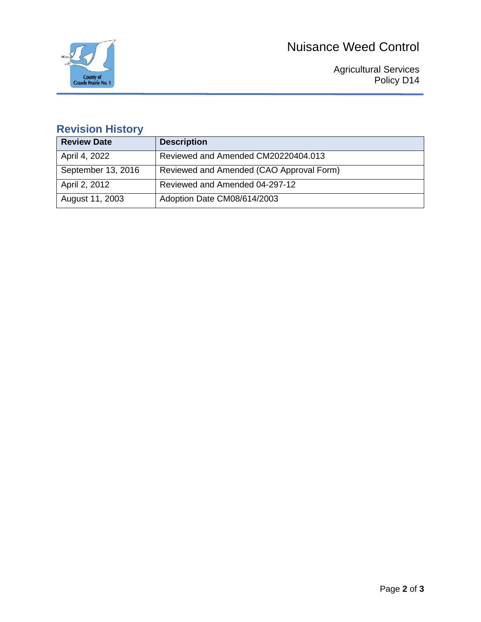



Agricultural Services Policy D14

# **Revision History**

| <b>Review Date</b> | <b>Description</b>                       |
|--------------------|------------------------------------------|
| April 4, 2022      | Reviewed and Amended CM20220404.013      |
| September 13, 2016 | Reviewed and Amended (CAO Approval Form) |
| April 2, 2012      | Reviewed and Amended 04-297-12           |
| August 11, 2003    | Adoption Date CM08/614/2003              |